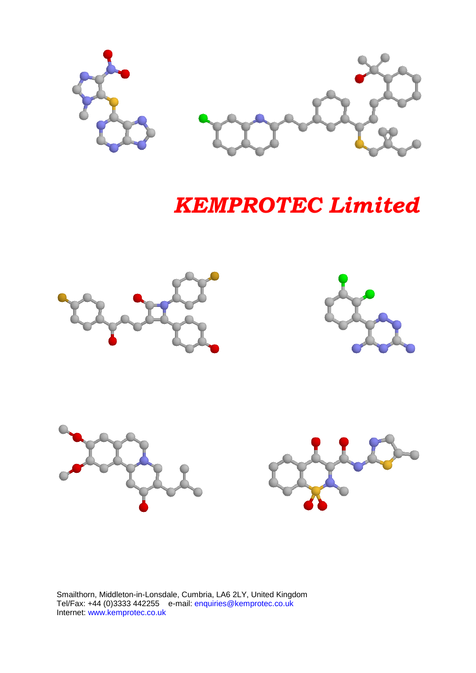

# *KEMPROTEC Limited*









Smailthorn, Middleton-in-Lonsdale, Cumbria, LA6 2LY, United Kingdom Tel/Fax: +44 (0)3333 442255 e-mail: enquiries@kemprotec.co.uk Internet: www.kemprotec.co.uk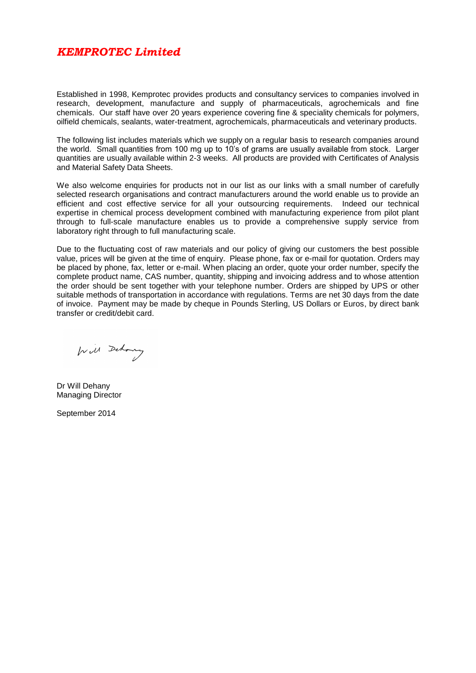#### *KEMPROTEC Limited*

Established in 1998, Kemprotec provides products and consultancy services to companies involved in research, development, manufacture and supply of pharmaceuticals, agrochemicals and fine chemicals. Our staff have over 20 years experience covering fine & speciality chemicals for polymers, oilfield chemicals, sealants, water-treatment, agrochemicals, pharmaceuticals and veterinary products.

The following list includes materials which we supply on a regular basis to research companies around the world. Small quantities from 100 mg up to 10's of grams are usually available from stock. Larger quantities are usually available within 2-3 weeks. All products are provided with Certificates of Analysis and Material Safety Data Sheets.

We also welcome enquiries for products not in our list as our links with a small number of carefully selected research organisations and contract manufacturers around the world enable us to provide an efficient and cost effective service for all your outsourcing requirements. Indeed our technical expertise in chemical process development combined with manufacturing experience from pilot plant through to full-scale manufacture enables us to provide a comprehensive supply service from laboratory right through to full manufacturing scale.

Due to the fluctuating cost of raw materials and our policy of giving our customers the best possible value, prices will be given at the time of enquiry. Please phone, fax or e-mail for quotation. Orders may be placed by phone, fax, letter or e-mail. When placing an order, quote your order number, specify the complete product name, CAS number, quantity, shipping and invoicing address and to whose attention the order should be sent together with your telephone number. Orders are shipped by UPS or other suitable methods of transportation in accordance with regulations. Terms are net 30 days from the date of invoice. Payment may be made by cheque in Pounds Sterling, US Dollars or Euros, by direct bank transfer or credit/debit card.

Will Dehoury

Dr Will Dehany Managing Director

September 2014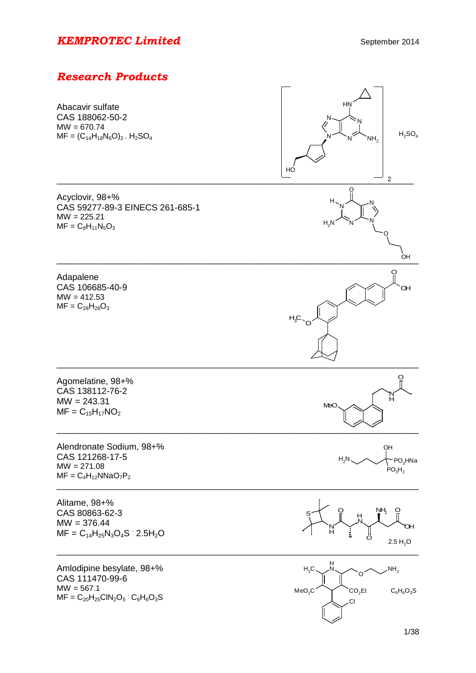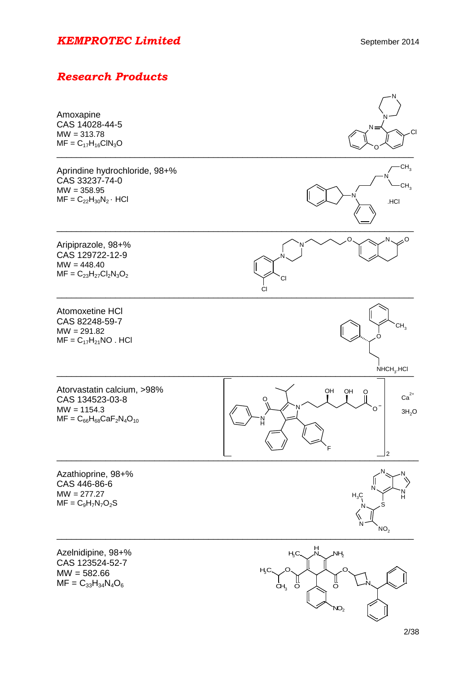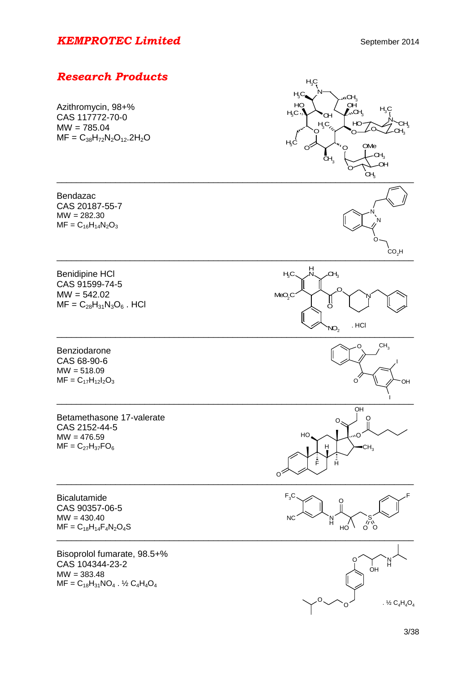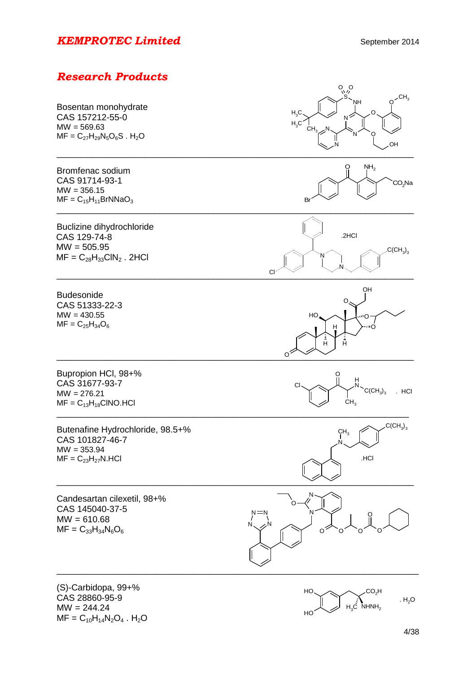# *Research Products*



HO

 $.H<sub>2</sub>O$ 

 $MF = C_{10}H_{14}N_2O_4$ . H<sub>2</sub>O

 $MW = 244.24$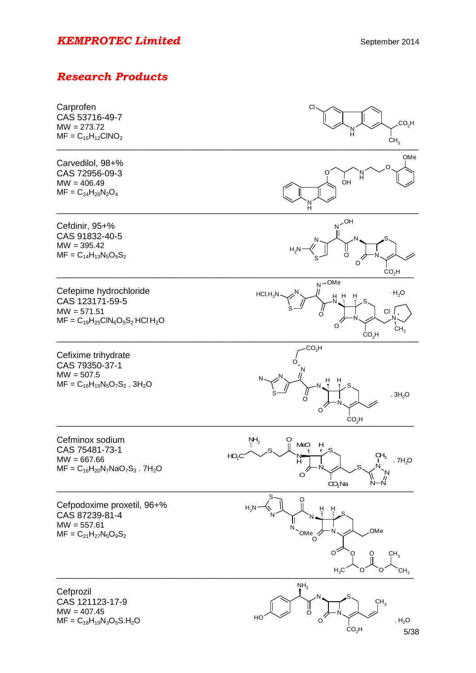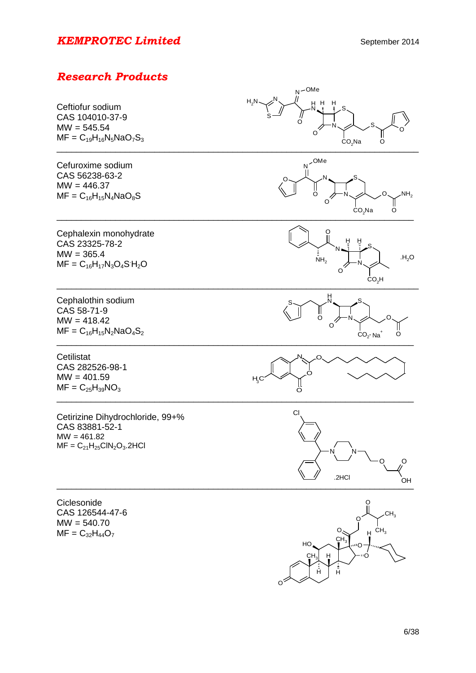# *Research Products*



O

H

H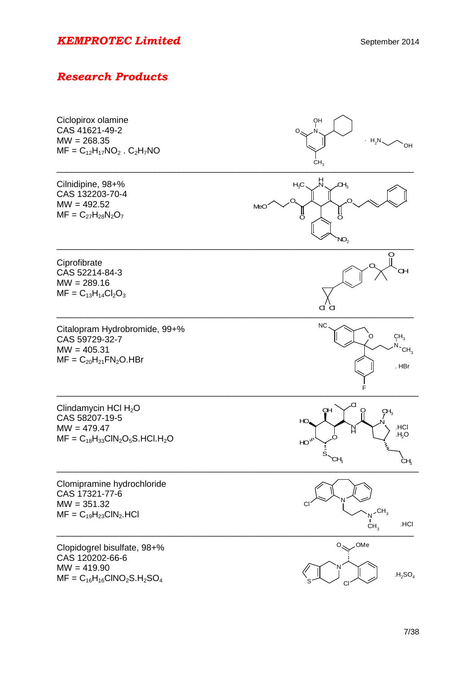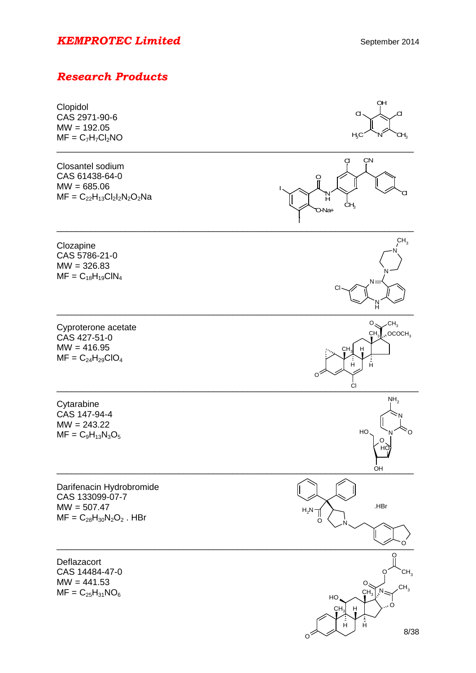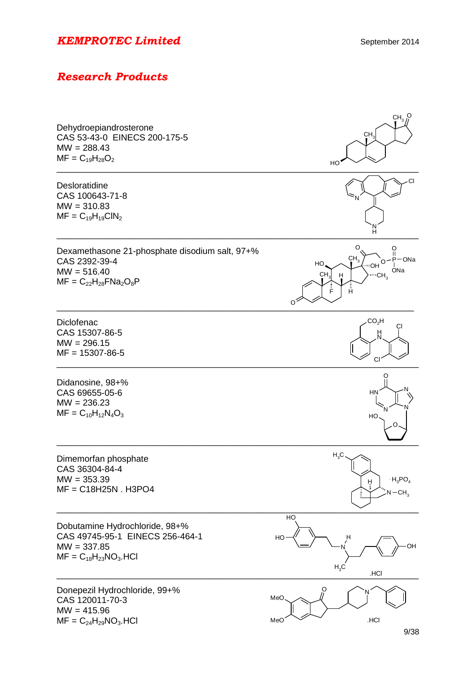| Dehydroepiandrosterone<br>CAS 53-43-0 EINECS 200-175-5<br>$MW = 288.43$<br>$MF = C_{19}H_{28}O_2$                 | $CH3$ <sup>O</sup><br>CH <sub>3</sub><br>HO                                                                      |
|-------------------------------------------------------------------------------------------------------------------|------------------------------------------------------------------------------------------------------------------|
| Desloratidine<br>CAS 100643-71-8<br>$MW = 310.83$<br>$MF = C_{19}H_{19}CIN_2$                                     |                                                                                                                  |
| Dexamethasone 21-phosphate disodium salt, 97+%<br>CAS 2392-39-4<br>$MW = 516.40$<br>$MF = C_{22}H_{28}FNa_2O_8P$  | O<br>ဂူ<br>CH <sub>3</sub><br>P—ONa<br>O<br>HO<br>ONa<br>CH <sub>3</sub><br>"CH <sub>3</sub><br>H<br>Ê<br>Ĥ<br>O |
| Diclofenac<br>CAS 15307-86-5<br>$MW = 296.15$<br>$MF = 15307 - 86 - 5$                                            | CO <sub>2</sub> H<br>СI<br>H<br>CI                                                                               |
| Didanosine, 98+%<br>CAS 69655-05-6<br>$MW = 236.23$<br>$MF = C_{10}H_{12}N_4O_3$                                  | HN<br>HO                                                                                                         |
| Dimemorfan phosphate<br>CAS 36304-84-4<br>$MW = 353.39$<br>$MF = C18H25N$ . H3PO4                                 | $H_3C$<br>$\cdot$ H <sub>3</sub> PO <sub>4</sub><br>н<br>$N - CH3$                                               |
| Dobutamine Hydrochloride, 98+%<br>CAS 49745-95-1 EINECS 256-464-1<br>$MW = 337.85$<br>$MF = C_{18}H_{23}NO_3.HCl$ | HO<br>HO<br>H<br>OH<br>$H_3C$<br>.HCI                                                                            |
| Donepezil Hydrochloride, 99+%<br>CAS 120011-70-3<br>$MW = 415.96$<br>$MF = C24H29NO3. HCl$                        | Ő<br>MeO<br>.HCI<br>MeO                                                                                          |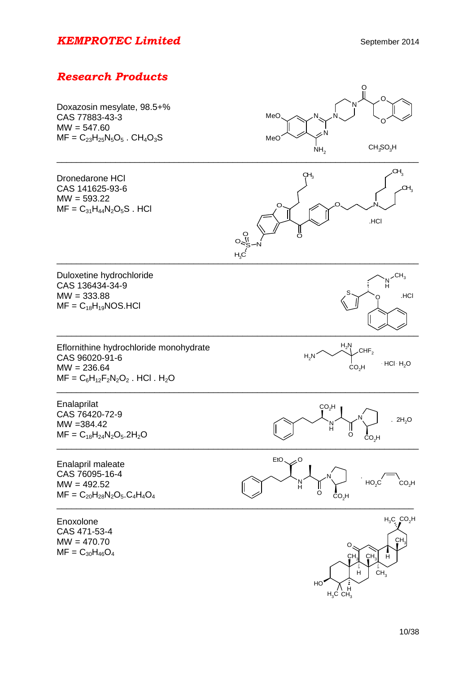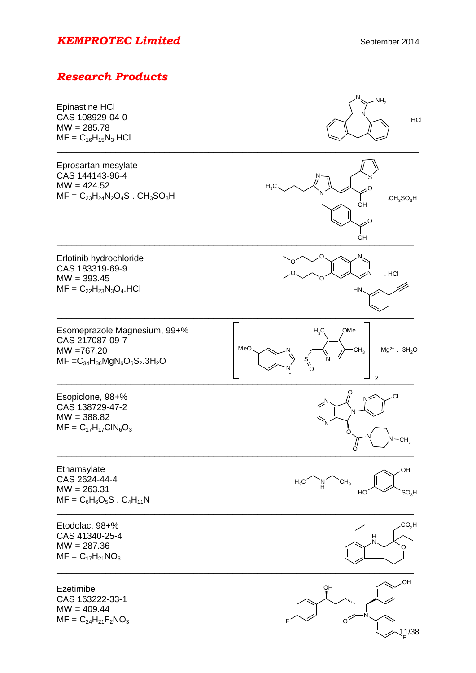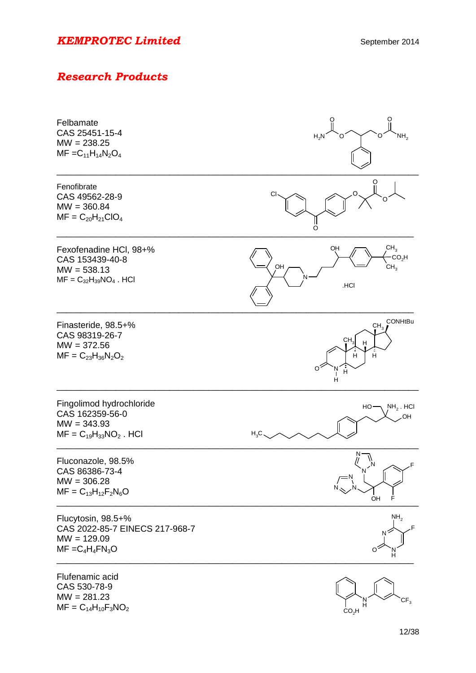| Felbamate<br>CAS 25451-15-4<br>$MW = 238.25$<br>$MF = C_{11}H_{14}N_2O_4$                     | H <sub>2</sub> N<br>NH,                                                                              |
|-----------------------------------------------------------------------------------------------|------------------------------------------------------------------------------------------------------|
| Fenofibrate<br>CAS 49562-28-9<br>$MW = 360.84$<br>$MF = C_{20}H_{21}ClO_4$                    | O                                                                                                    |
| Fexofenadine HCI, 98+%<br>CAS 153439-40-8<br>$MW = 538.13$<br>$MF = C_{32}H_{39}NO_4$ . HCl   | CH <sub>3</sub><br>OH<br>CO <sub>2</sub> H<br>OH<br>$CH^3$<br>.HCI                                   |
| Finasteride, 98.5+%<br>CAS 98319-26-7<br>$MW = 372.56$<br>$MF = C_{23}H_{36}N_2O_2$           | <b>CONHtBu</b><br>CH <sub>3</sub><br>CH <sub>3</sub><br>н<br>$\overline{H}$<br>H<br>Ĥ<br>O<br>'N<br> |
| Fingolimod hydrochloride<br>CAS 162359-56-0<br>$MW = 343.93$<br>$MF = C_{19}H_{33}NO_2$ . HCI | $NH2$ . HCI<br>HO<br>OH<br>$H_3C$ .                                                                  |
| Fluconazole, 98.5%<br>CAS 86386-73-4<br>$MW = 306.28$<br>$MF = C_{13}H_{12}F_2N_6O$           | N<br>N<br>OH<br>F                                                                                    |
| Flucytosin, 98.5+%<br>CAS 2022-85-7 EINECS 217-968-7<br>$MW = 129.09$<br>$MF = C_4H_4FN_3O$   | NH <sub>2</sub>                                                                                      |
| Flufenamic acid<br>CAS 530-78-9<br>$MW = 281.23$<br>$MF = C_{14}H_{10}F_3NO_2$                | CF <sub>3</sub><br>'N<br>H<br>CO <sub>2</sub> H                                                      |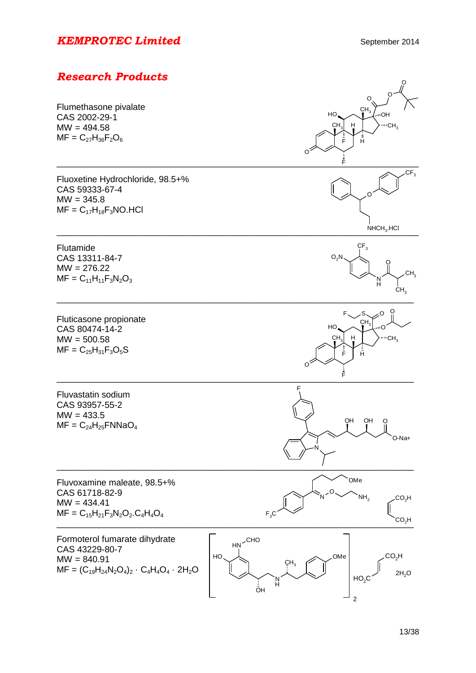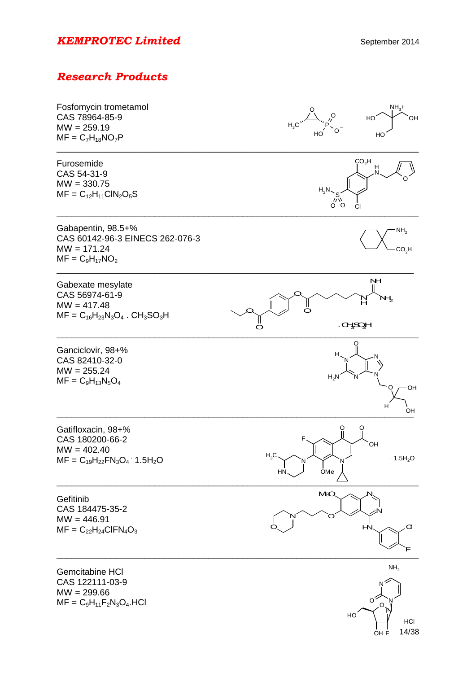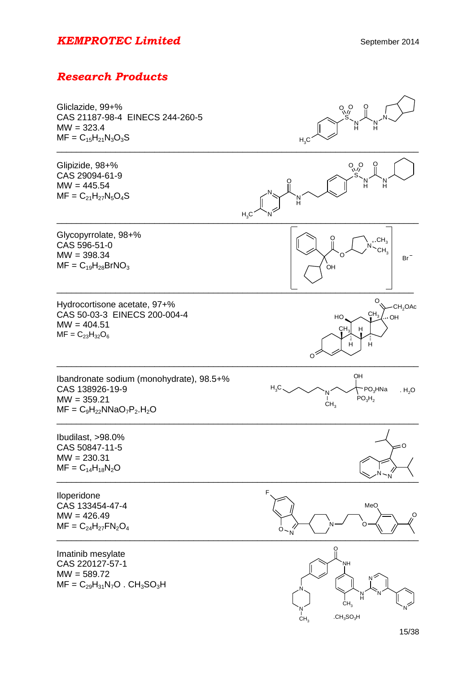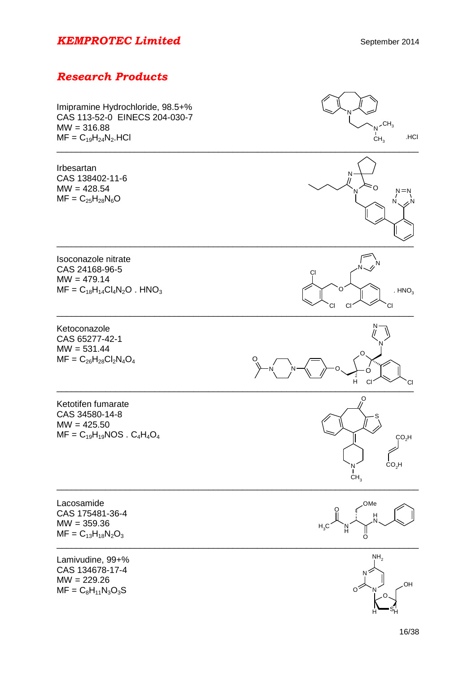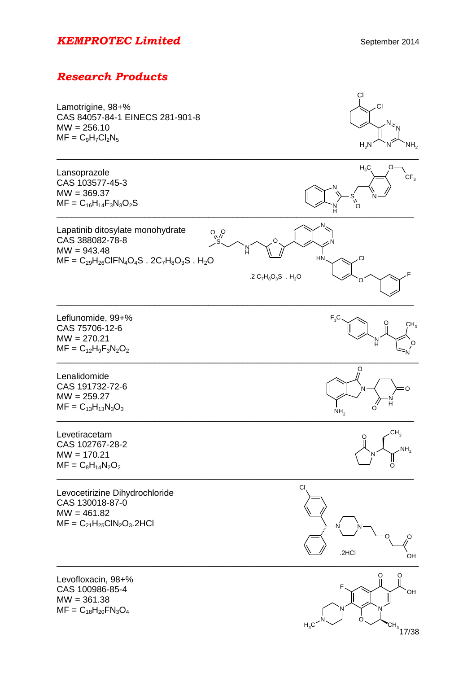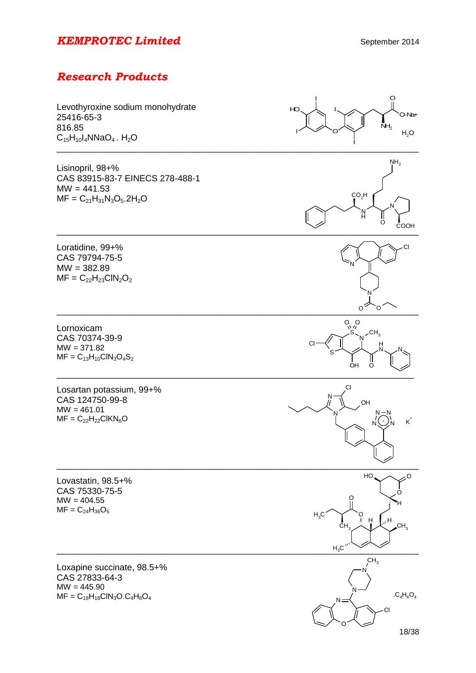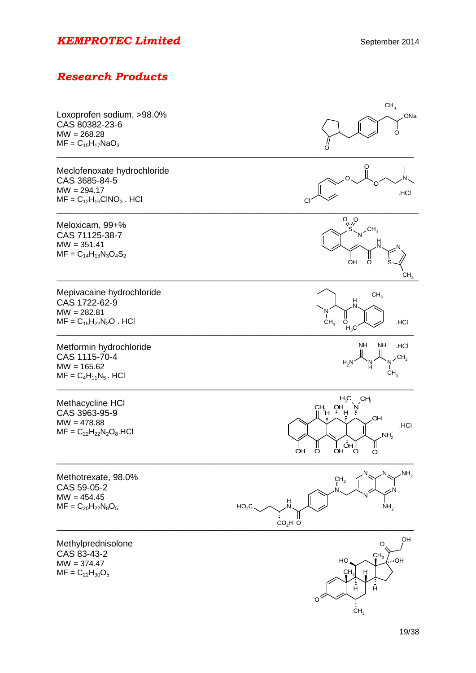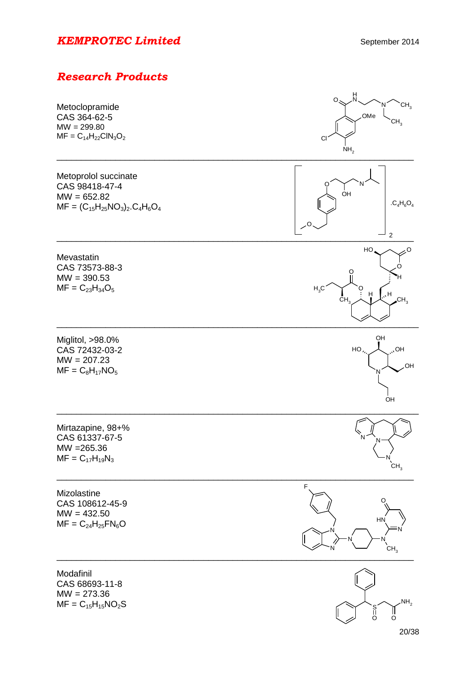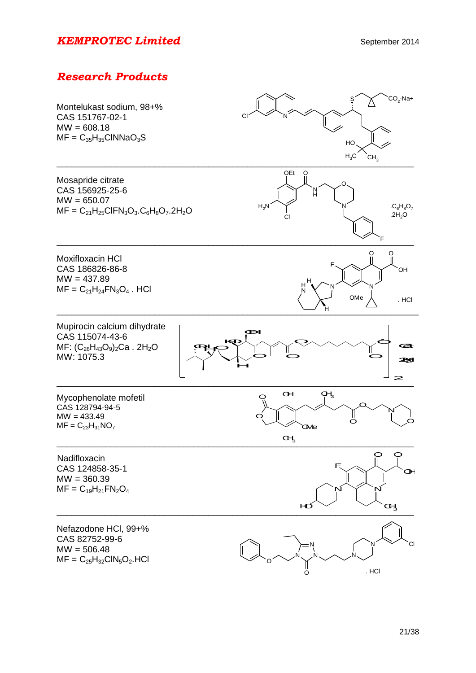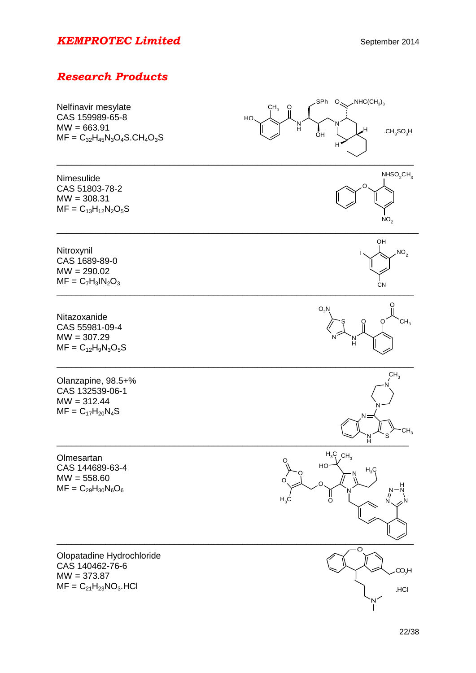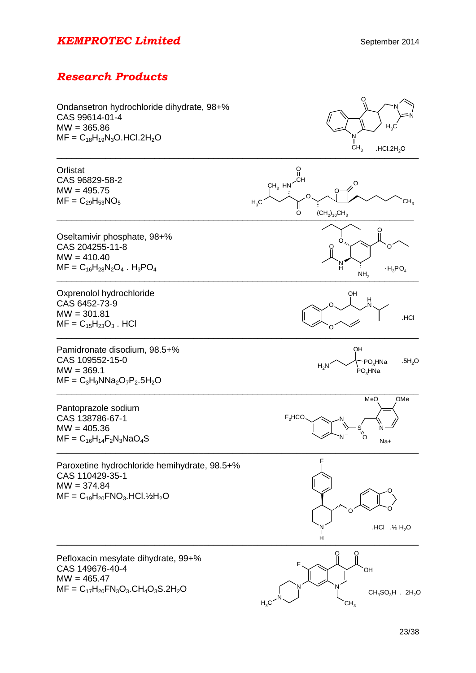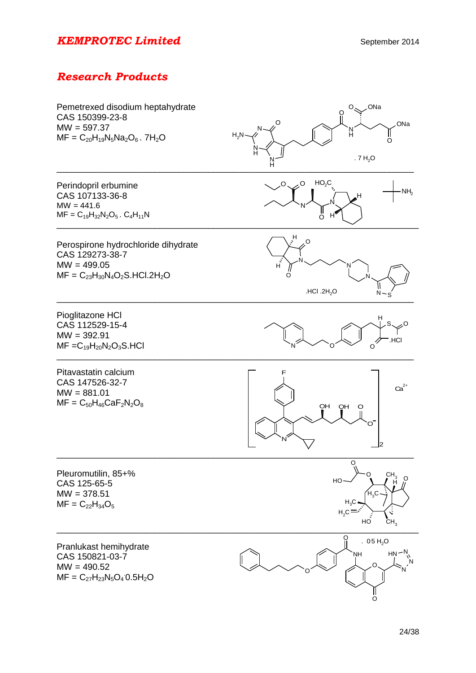| Pemetrexed disodium heptahydrate<br>CAS 150399-23-8<br>$MW = 597.37$<br>$MF = C_{20}H_{19}N_5Na_2O_6$ . 7H <sub>2</sub> O | <b>ONa</b><br>О.<br>ONa<br>H<br>$H_2N$<br>റ<br>. $7 H2O$<br>N<br>H                                |
|---------------------------------------------------------------------------------------------------------------------------|---------------------------------------------------------------------------------------------------|
| Perindopril erbumine<br>CAS 107133-36-8<br>$MW = 441.6$<br>$MF = C_{19}H_{32}N_2O_5$ . $C_4H_{11}N$                       | HO <sub>2</sub> C<br>$0\sim 0$<br>NH <sub>2</sub><br>н<br>ő<br>н                                  |
| Perospirone hydrochloride dihydrate<br>CAS 129273-38-7<br>$MW = 499.05$<br>$MF = C_{23}H_{30}N_4O_2S.HCl.2H_2O$           | $\mathbb{H}_{\zeta}$<br>O<br>H<br>.HCl. $2H2O$<br>$N - S$                                         |
| Pioglitazone HCI<br>CAS 112529-15-4<br>$MW = 392.91$<br>$MF = C_{19}H_{20}N_2O_3S.HCl$                                    | H<br>.HCI<br>Ω                                                                                    |
| Pitavastatin calcium<br>CAS 147526-32-7<br>$MW = 881.01$<br>$MF = C_{50}H_{46}CaF_2N_2O_8$                                | $Ca2+$<br>OH<br>OH<br>O                                                                           |
| Pleuromutilin, 85+%<br>CAS 125-65-5<br>$MW = 378.51$<br>$MF = C_{22}H_{34}O_5$                                            | O<br>CH <sub>3</sub><br>HO<br>$H_{3}C$<br>H <sub>3</sub> C<br>$H_2C = S$<br>CH <sub>3</sub><br>HO |
| Pranlukast hemihydrate<br>CAS 150821-03-7<br>$MW = 490.52$<br>$MF = C_{27}H_{23}N_5O_4 0.5H_2O$                           | . $0.5 H2O$<br>NΗ<br>HN.<br>O<br>O                                                                |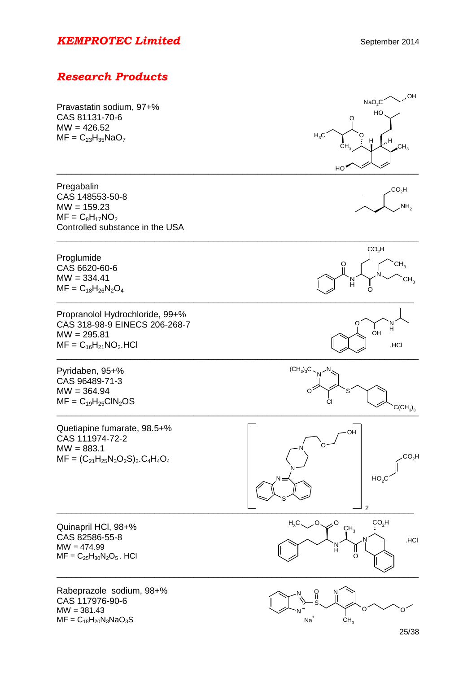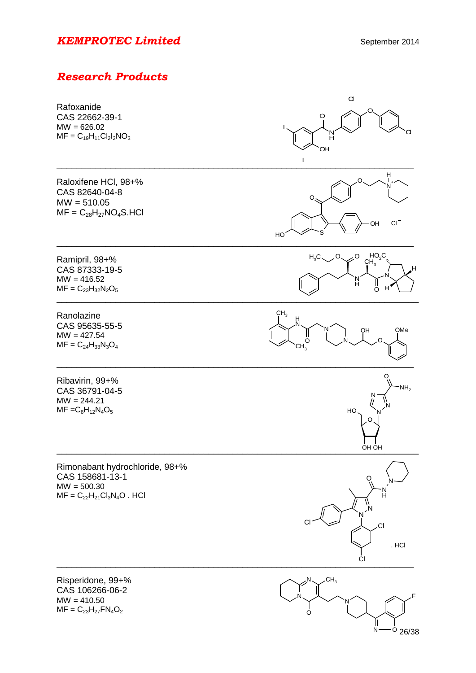# *Research Products*



N<sup>-0</sup> 26/38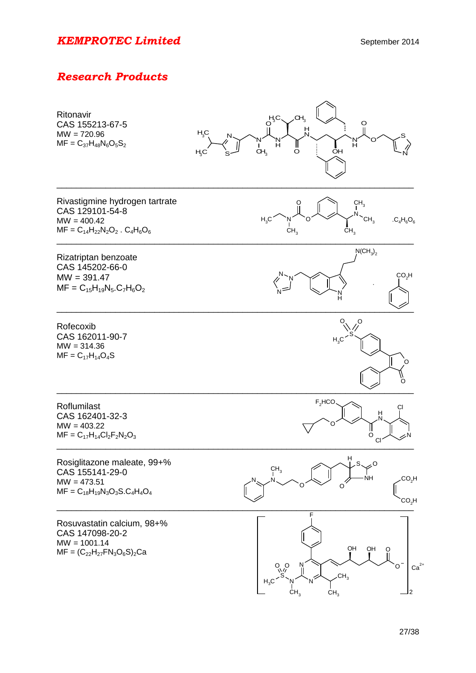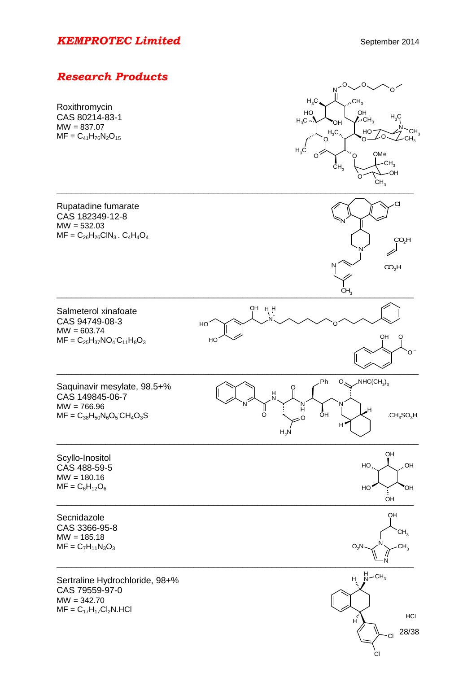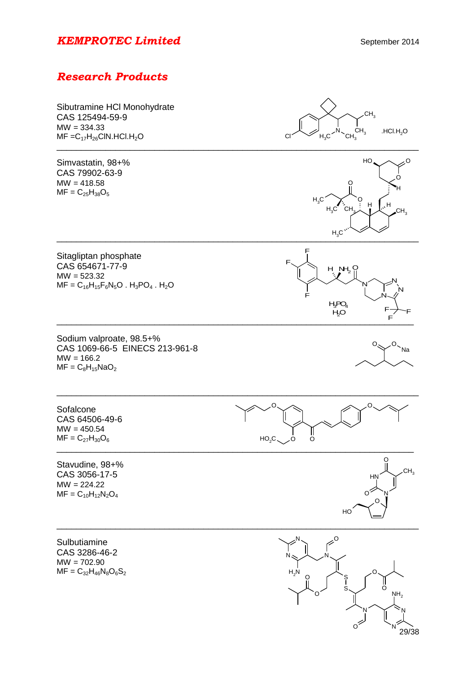# *Research Products*



29/38

N

 $\circ$ <sup> $\leq$ </sup>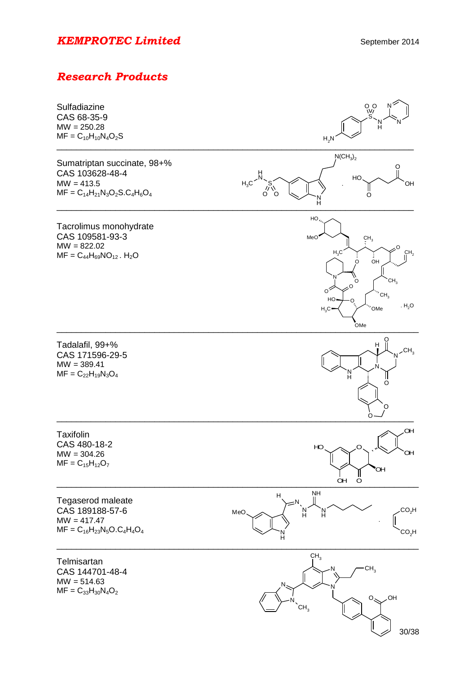# *Research Products*



30/38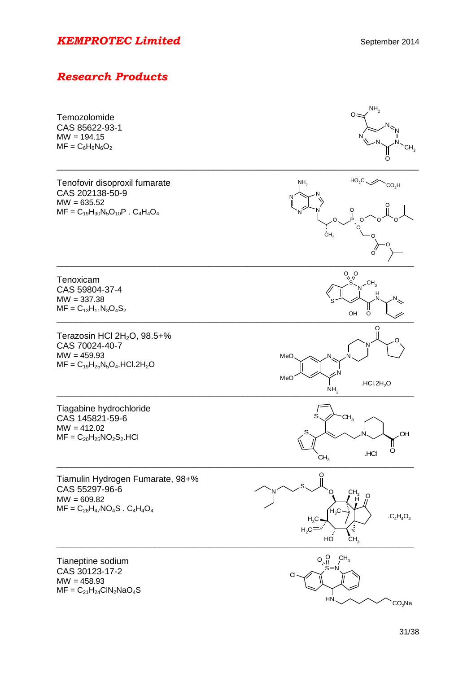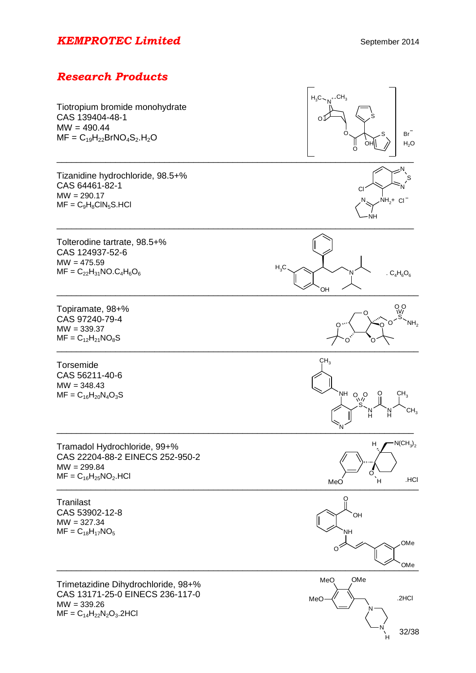H



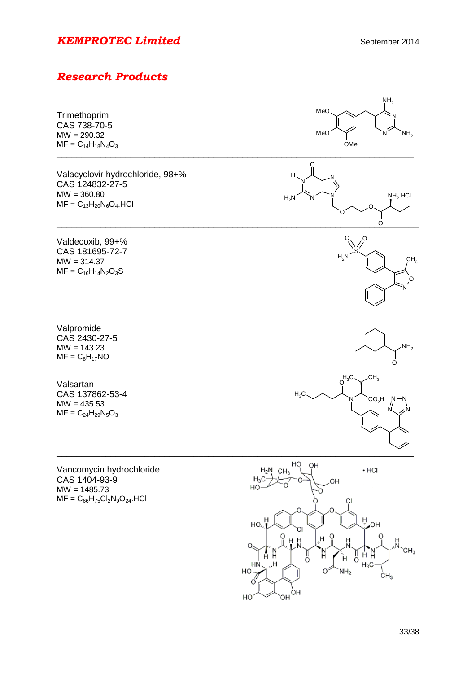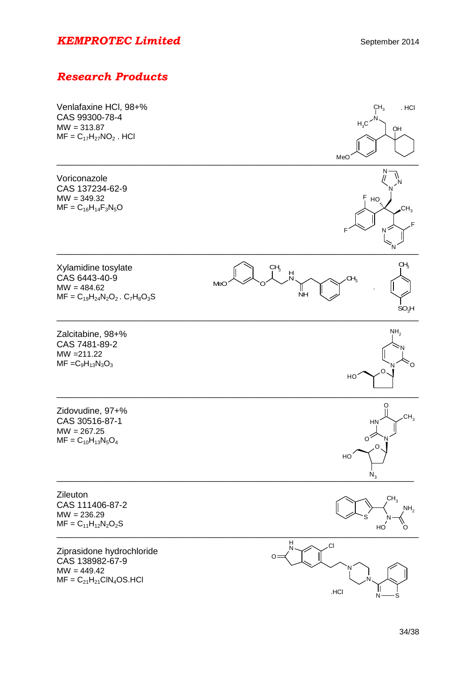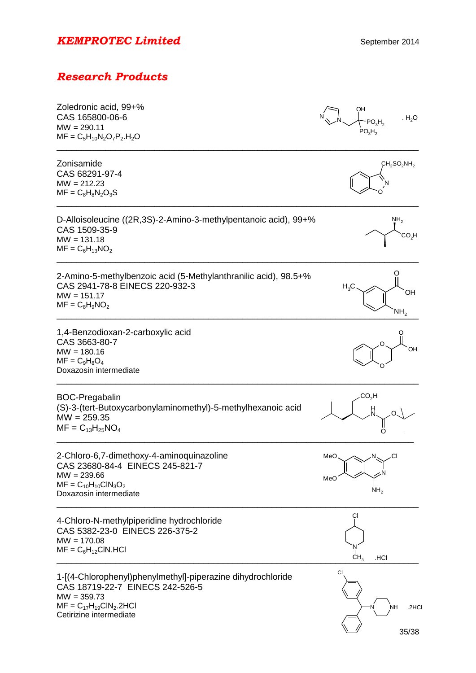| Zoledronic acid, 99+%<br>CAS 165800-06-6<br>$MW = 290.11$<br>$MF = C_5H_{10}N_2O_7P_2.H_2O$                                                                                 | OН<br>. $H_2O$<br>PO <sub>3</sub> H <sub>2</sub><br>PO <sub>3</sub> H <sub>2</sub> |
|-----------------------------------------------------------------------------------------------------------------------------------------------------------------------------|------------------------------------------------------------------------------------|
| Zonisamide<br>CAS 68291-97-4<br>$MW = 212.23$<br>$MF = C_8H_8N_2O_3S$                                                                                                       | $CH_2SO_2NH_2$                                                                     |
| D-Alloisoleucine ((2R,3S)-2-Amino-3-methylpentanoic acid), 99+%<br>CAS 1509-35-9<br>$MW = 131.18$<br>$MF = C_6H_{13}NO_2$                                                   | NH <sub>2</sub><br>$\mathsf{CO_2H}$                                                |
| 2-Amino-5-methylbenzoic acid (5-Methylanthranilic acid), 98.5+%<br>CAS 2941-78-8 EINECS 220-932-3<br>$MW = 151.17$<br>$MF = C_8H_9NO_2$                                     | $H_3C$<br>OH<br>NH,                                                                |
| 1,4-Benzodioxan-2-carboxylic acid<br>CAS 3663-80-7<br>$MW = 180.16$<br>$MF = C_9H_8O_4$<br>Doxazosin intermediate                                                           | OН                                                                                 |
| <b>BOC-Pregabalin</b><br>(S)-3-(tert-Butoxycarbonylaminomethyl)-5-methylhexanoic acid<br>$MW = 259.35$<br>$MF = C_{13}H_{25}NO_4$                                           | $\mathsf{CO_2H}$                                                                   |
| 2-Chloro-6,7-dimethoxy-4-aminoquinazoline<br>CAS 23680-84-4 EINECS 245-821-7<br>$MW = 239.66$<br>$MF = C_{10}H_{10}CIN_3O_2$<br>Doxazosin intermediate                      | MeO、<br>$\ll N$<br>MeO<br>NH <sub>2</sub>                                          |
| 4-Chloro-N-methylpiperidine hydrochloride<br>CAS 5382-23-0 EINECS 226-375-2<br>$MW = 170.08$<br>$MF = C_6H_{12}CIN.HCI$                                                     | СI<br>.HCI<br>CH,                                                                  |
| 1-[(4-Chlorophenyl)phenylmethyl]-piperazine dihydrochloride<br>CAS 18719-22-7 EINECS 242-526-5<br>$MW = 359.73$<br>$MF = C_{17}H_{19}CIN_2.2HCI$<br>Cetirizine intermediate | CI<br>NΗ<br>.2HCI<br>35/38                                                         |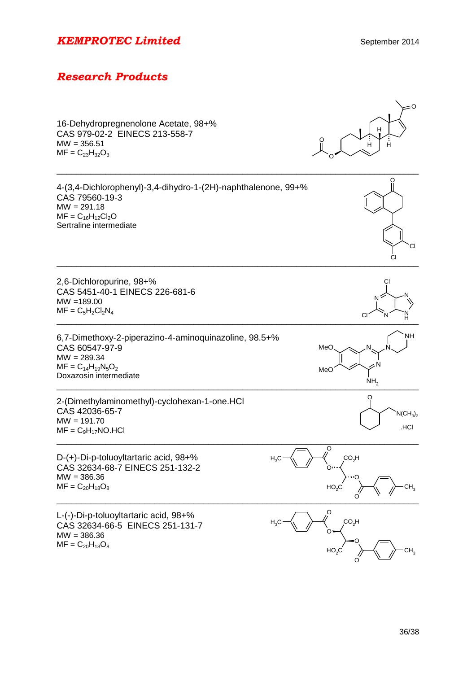# *Research Products*

16-Dehydropregnenolone Acetate, 98+% CAS 979-02-2 EINECS 213-558-7  $MW = 356.51$  $MF = C_{23}H_{32}O_3$ 



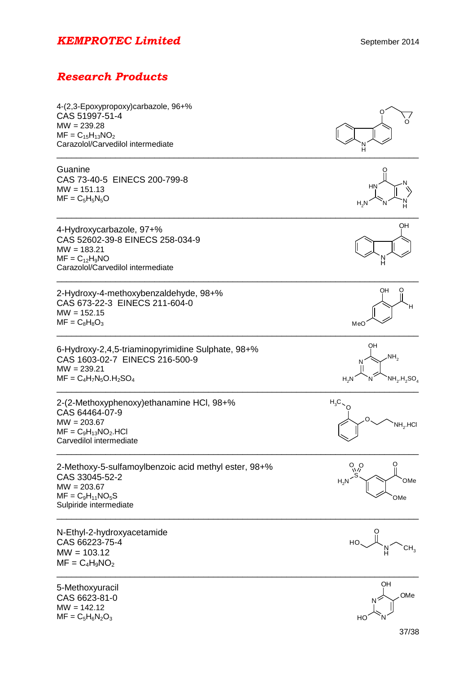| 4-(2,3-Epoxypropoxy)carbazole, 96+%<br>CAS 51997-51-4<br>$MW = 239.28$<br>$MF = C_{15}H_{13}NO_2$                                          | O                                                                                   |
|--------------------------------------------------------------------------------------------------------------------------------------------|-------------------------------------------------------------------------------------|
| Carazolol/Carvedilol intermediate                                                                                                          |                                                                                     |
| Guanine<br>CAS 73-40-5 EINECS 200-799-8<br>$MW = 151.13$<br>$MF = C_5H_5N_5O$                                                              | HN<br>$H_2N$                                                                        |
| 4-Hydroxycarbazole, 97+%<br>CAS 52602-39-8 EINECS 258-034-9<br>$MW = 183.21$<br>$MF = C_{12}H_9NO$<br>Carazolol/Carvedilol intermediate    | OH                                                                                  |
| 2-Hydroxy-4-methoxybenzaldehyde, 98+%<br>CAS 673-22-3 EINECS 211-604-0<br>$MW = 152.15$<br>$MF = C_8H_8O_3$                                | OН<br>MeC                                                                           |
| 6-Hydroxy-2,4,5-triaminopyrimidine Sulphate, 98+%<br>CAS 1603-02-7 EINECS 216-500-9<br>$MW = 239.21$<br>$MF = C_4H_7N_5O.H_2SO_4$          | OH<br>.NH <sub>2</sub><br>$NH2$ .H <sub>2</sub> SO <sub>4</sub><br>H <sub>2</sub> N |
| 2-(2-Methoxyphenoxy) ethanamine HCI, 98+%<br>CAS 64464-07-9<br>$MW = 203.67$<br>$MF = C9H13NO2. HCl$<br>Carvedilol intermediate            | $H_3C$<br>$NH2$ .HCI                                                                |
| 2-Methoxy-5-sulfamoylbenzoic acid methyl ester, 98+%<br>CAS 33045-52-2<br>$MW = 203.67$<br>$MF = C_9H_{11}NO_5S$<br>Sulpiride intermediate | $O_{\sqrt{2}}$<br>OMe<br>H <sub>2</sub> N<br>OMe                                    |
| N-Ethyl-2-hydroxyacetamide<br>CAS 66223-75-4<br>$MW = 103.12$<br>$MF = C_4H_9NO_2$                                                         |                                                                                     |
| 5-Methoxyuracil<br>CAS 6623-81-0<br>$MW = 142.12$<br>$MF = C_5H_6N_2O_3$                                                                   | OH<br>OMe                                                                           |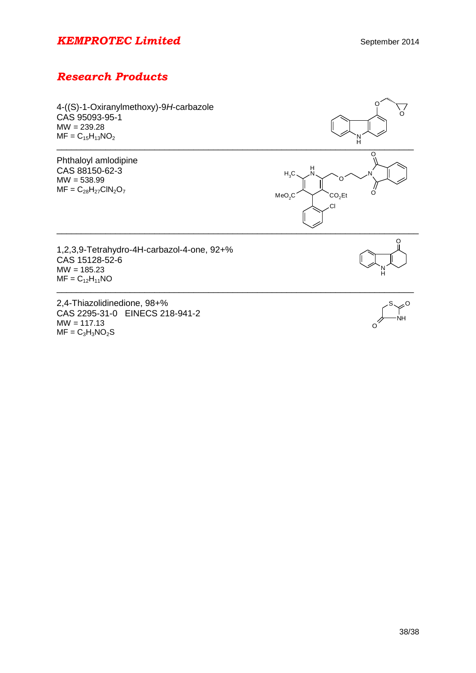# *Research Products*

| 4-((S)-1-Oxiranylmethoxy)-9H-carbazole |  |
|----------------------------------------|--|
| CAS 95093-95-1                         |  |
| $MW = 239.28$                          |  |
| $MF = C_{15}H_{13}NO_2$                |  |

Phthaloyl amlodipine CAS 88150-62-3 MW = 538.99  $MF = C_{28}H_{27}CIN_2O_7$ 



1,2,3,9-Tetrahydro-4H-carbazol-4-one, 92+% CAS 15128-52-6  $MW = 185.23$  $MF = C_{12}H_{11}NO$ 

2,4-Thiazolidinedione, 98+% CAS 2295-31-0 EINECS 218-941-2  $MW = 117.13$  $MF = C<sub>3</sub>H<sub>3</sub>NO<sub>2</sub>S$ 



 $\Omega$ 

N

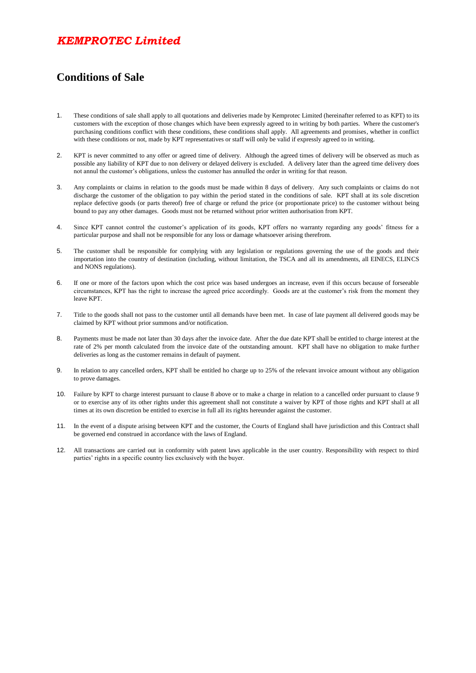## *KEMPROTEC Limited*

#### **Conditions of Sale**

- 1. These conditions of sale shall apply to all quotations and deliveries made by Kemprotec Limited (hereinafter referred to as KPT) to its customers with the exception of those changes which have been expressly agreed to in writing by both parties. Where the customer's purchasing conditions conflict with these conditions, these conditions shall apply. All agreements and promises, whether in conflict with these conditions or not, made by KPT representatives or staff will only be valid if expressly agreed to in writing.
- 2. KPT is never committed to any offer or agreed time of delivery. Although the agreed times of delivery will be observed as much as possible any liability of KPT due to non delivery or delayed delivery is excluded. A delivery later than the agreed time delivery does not annul the customer's obligations, unless the customer has annulled the order in writing for that reason.
- 3. Any complaints or claims in relation to the goods must be made within 8 days of delivery. Any such complaints or claims do not discharge the customer of the obligation to pay within the period stated in the conditions of sale. KPT shall at its sole discretion replace defective goods (or parts thereof) free of charge or refund the price (or proportionate price) to the customer without being bound to pay any other damages. Goods must not be returned without prior written authorisation from KPT.
- 4. Since KPT cannot control the customer's application of its goods, KPT offers no warranty regarding any goods' fitness for a particular purpose and shall not be responsible for any loss or damage whatsoever arising therefrom.
- 5. The customer shall be responsible for complying with any legislation or regulations governing the use of the goods and their importation into the country of destination (including, without limitation, the TSCA and all its amendments, all EINECS, ELINCS and NONS regulations).
- 6. If one or more of the factors upon which the cost price was based undergoes an increase, even if this occurs because of forseeable circumstances, KPT has the right to increase the agreed price accordingly. Goods are at the customer's risk from the moment they leave KPT.
- 7. Title to the goods shall not pass to the customer until all demands have been met. In case of late payment all delivered goods may be claimed by KPT without prior summons and/or notification.
- 8. Payments must be made not later than 30 days after the invoice date. After the due date KPT shall be entitled to charge interest at the rate of 2% per month calculated from the invoice date of the outstanding amount. KPT shall have no obligation to make further deliveries as long as the customer remains in default of payment.
- 9. In relation to any cancelled orders, KPT shall be entitled ho charge up to 25% of the relevant invoice amount without any obligation to prove damages.
- 10. Failure by KPT to charge interest pursuant to clause 8 above or to make a charge in relation to a cancelled order pursuant to clause 9 or to exercise any of its other rights under this agreement shall not constitute a waiver by KPT of those rights and KPT shall at all times at its own discretion be entitled to exercise in full all its rights hereunder against the customer.
- 11. In the event of a dispute arising between KPT and the customer, the Courts of England shall have jurisdiction and this Contract shall be governed end construed in accordance with the laws of England.
- 12. All transactions are carried out in conformity with patent laws applicable in the user country. Responsibility with respect to third parties' rights in a specific country lies exclusively with the buyer.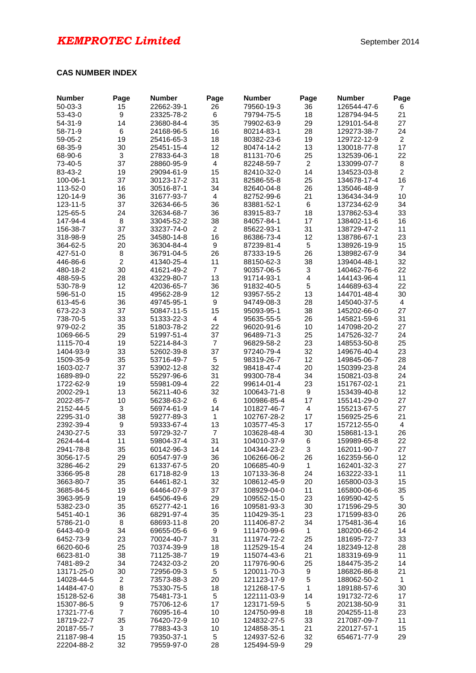#### **CAS NUMBER INDEX**

| <b>Number</b>            | Page             | <b>Number</b>            | Page           | <b>Number</b>              | Page           | <b>Number</b>              | Page           |
|--------------------------|------------------|--------------------------|----------------|----------------------------|----------------|----------------------------|----------------|
| $50 - 03 - 3$            | 15               | 22662-39-1               | 26             | 79560-19-3                 | 36             | 126544-47-6                | 6              |
| 53-43-0                  | 9                | 23325-78-2               | 6              | 79794-75-5                 | 18             | 128794-94-5                | 21             |
| $54 - 31 - 9$            | 14               | 23680-84-4               | 35             | 79902-63-9                 | 29             | 129101-54-8                | 27             |
| 58-71-9                  | 6                | 24168-96-5               | 16             | 80214-83-1                 | 28             | 129273-38-7                | 24             |
| 59-05-2                  | 19               | 25416-65-3               | 18             | 80382-23-6                 | 19             | 129722-12-9                | $\overline{2}$ |
| 68-35-9                  | 30               | 25451-15-4               | 12             | 80474-14-2                 | 13             | 130018-77-8                | 17             |
| 68-90-6                  | $\mathbf{3}$     | 27833-64-3               | 18             | 81131-70-6                 | 25             | 132539-06-1                | 22             |
| 73-40-5                  | 37               | 28860-95-9               | 4              | 82248-59-7                 | $\overline{c}$ | 133099-07-7                | 8              |
| 83-43-2                  | 19               | 29094-61-9               | 15             | 82410-32-0                 | 14             | 134523-03-8                | $\overline{c}$ |
| 100-06-1                 | 37               | 30123-17-2               | 31             | 82586-55-8                 | 25             | 134678-17-4                | 16             |
| 113-52-0                 | 16               | 30516-87-1               | 34             | 82640-04-8                 | 26             | 135046-48-9                | $\overline{7}$ |
| 120-14-9                 | 36               | 31677-93-7               | 4              | 82752-99-6                 | 21             | 136434-34-9                | 10             |
| 123-11-5                 | 37               | 32634-66-5               | 36             | 83881-52-1                 | 6              | 137234-62-9                | 34             |
| 125-65-5                 | 24               | 32634-68-7               | 36             | 83915-83-7                 | 18             | 137862-53-4                | 33             |
| 147-94-4                 | 8                | 33045-52-2               | 38             | 84057-84-1                 | 17             | 138402-11-6                | 16             |
| 156-38-7                 | 37               | 33237-74-0               | $\overline{c}$ | 85622-93-1                 | 31             | 138729-47-2                | 11             |
| 318-98-9                 | 25               | 34580-14-8               | 16             | 86386-73-4                 | 12             | 138786-67-1                | 23             |
| 364-62-5                 | 20               | 36304-84-4               | 9              | 87239-81-4                 | 5              | 138926-19-9                | 15             |
| 427-51-0                 | 8                | 36791-04-5               | 26             | 87333-19-5                 | 26             | 138982-67-9                | 34             |
| 446-86-6                 | $\overline{2}$   | 41340-25-4               | 11             | 88150-62-3                 | 38             | 139404-48-1                | 32             |
| 480-18-2                 | 30               | 41621-49-2               | $\overline{7}$ | 90357-06-5                 | 3              | 140462-76-6                | 22             |
| 488-59-5                 | 28               | 43229-80-7               | 13             | 91714-93-1                 | 4              | 144143-96-4                | 11             |
| 530-78-9                 | 12               | 42036-65-7               | 36             | 91832-40-5                 | 5              | 144689-63-4                | 22             |
| 596-51-0                 | 15<br>36         | 49562-28-9               | 12<br>9        | 93957-55-2                 | 13<br>28       | 144701-48-4                | 30<br>4        |
| 613-45-6<br>673-22-3     | 37               | 49745-95-1<br>50847-11-5 | 15             | 94749-08-3<br>95093-95-1   | 38             | 145040-37-5<br>145202-66-0 | 27             |
|                          | 33               |                          | $\overline{4}$ |                            | 26             |                            |                |
| 738-70-5<br>979-02-2     | 35               | 51333-22-3<br>51803-78-2 | 22             | 95635-55-5<br>96020-91-6   | 10             | 145821-59-6<br>147098-20-2 | 31<br>27       |
| 1069-66-5                | 29               | 51997-51-4               | 37             | 96489-71-3                 | 25             | 147526-32-7                | 24             |
| 1115-70-4                | 19               | 52214-84-3               | $\overline{7}$ | 96829-58-2                 | 23             | 148553-50-8                | 25             |
| 1404-93-9                | 33               | 52602-39-8               | 37             | 97240-79-4                 | 32             | 149676-40-4                | 23             |
| 1509-35-9                | 35               | 53716-49-7               | 5              | 98319-26-7                 | 12             | 149845-06-7                | 28             |
| 1603-02-7                | 37               | 53902-12-8               | 32             | 98418-47-4                 | 20             | 150399-23-8                | 24             |
| 1689-89-0                | 22               | 55297-96-6               | 31             | 99300-78-4                 | 34             | 150821-03-8                | 24             |
| 1722-62-9                | 19               | 55981-09-4               | 22             | 99614-01-4                 | 23             | 151767-02-1                | 21             |
| 2002-29-1                | 13               | 56211-40-6               | 32             | 100643-71-8                | 9              | 153439-40-8                | 12             |
| 2022-85-7                | 10               | 56238-63-2               | 6              | 100986-85-4                | 17             | 155141-29-0                | 27             |
| 2152-44-5                | $\mathbf{3}$     | 56974-61-9               | 14             | 101827-46-7                | 4              | 155213-67-5                | 27             |
| 2295-31-0                | 38               | 59277-89-3               | $\mathbf{1}$   | 102767-28-2                | 17             | 156925-25-6                | 21             |
| 2392-39-4                | $\boldsymbol{9}$ | 59333-67-4               | 13             | 103577-45-3                | 17             | 157212-55-0                | $\overline{4}$ |
| 2430-27-5                | 33               | 59729-32-7               | $\overline{7}$ | 103628-48-4                | 30             | 158681-13-1                | 26             |
| 2624-44-4                | 11               | 59804-37-4               | 31             | 104010-37-9                | 6              | 159989-65-8                | 22             |
| 2941-78-8                | 35               | 60142-96-3               | 14             | 104344-23-2                | 3              | 162011-90-7                | 27             |
| 3056-17-5                | 29               | 60547-97-9               | 36             | 106266-06-2                | 26             | 162359-56-0                | 12             |
| 3286-46-2                | 29               | 61337-67-5               | 20             | 106685-40-9                | 1              | 162401-32-3                | 27             |
| 3366-95-8                | 28               | 61718-82-9               | 13             | 107133-36-8                | 24             | 163222-33-1                | 11             |
| 3663-80-7                | 35               | 64461-82-1               | 32             | 108612-45-9                | 20             | 165800-03-3                | 15             |
| 3685-84-5                | 19               | 64464-07-9               | 37             | 108929-04-0                | 11             | 165800-06-6                | 35             |
| 3963-95-9                | 19               | 64506-49-6               | 29             | 109552-15-0                | 23             | 169590-42-5                | 5              |
| 5382-23-0                | 35               | 65277-42-1               | 16             | 109581-93-3                | 30             | 171596-29-5                | 30             |
| 5451-40-1                | 36               | 68291-97-4               | 35             | 110429-35-1                | 23             | 171599-83-0                | 26             |
| 5786-21-0                | 8                | 68693-11-8               | 20             | 111406-87-2                | 34             | 175481-36-4                | 16             |
| 6443-40-9                | 34               | 69655-05-6               | 9              | 111470-99-6                | 1              | 180200-66-2                | 14             |
| 6452-73-9                | 23               | 70024-40-7               | 31             | 111974-72-2                | 25             | 181695-72-7                | 33             |
| 6620-60-6                | 25               | 70374-39-9               | 18             | 112529-15-4                | 24             | 182349-12-8                | 28             |
| 6623-81-0                | 38               | 71125-38-7               | 19             | 115074-43-6                | 21             | 183319-69-9                | 11             |
| 7481-89-2                | 34               | 72432-03-2               | 20             | 117976-90-6                | 25             | 184475-35-2                | 14             |
| 13171-25-0               | 30               | 72956-09-3               | 5              | 120011-70-3                | 9              | 186826-86-8                | 21             |
| 14028-44-5               | $\overline{c}$   | 73573-88-3               | 20             | 121123-17-9                | $\mathbf 5$    | 188062-50-2                | $\mathbf{1}$   |
| 14484-47-0               | $\bf 8$          | 75330-75-5               | 18             | 121268-17-5                | $\mathbf{1}$   | 189188-57-6                | 30             |
| 15128-52-6               | 38               | 75481-73-1               | 5              | 122111-03-9                | 14             | 191732-72-6                | 17             |
| 15307-86-5               | 9                | 75706-12-6               | 17             | 123171-59-5                | 5              | 202138-50-9                | 31             |
| 17321-77-6               | $\overline{7}$   | 76095-16-4               | 10             | 124750-99-8                | 18             | 204255-11-8                | 23             |
| 18719-22-7               | 35               | 76420-72-9               | 10             | 124832-27-5                | 33             | 217087-09-7                | 11             |
| 20187-55-7               | 3                | 77883-43-3               | 10             | 124858-35-1                | 21             | 220127-57-1                | 15             |
| 21187-98-4<br>22204-88-2 | 15<br>32         | 79350-37-1<br>79559-97-0 | 5<br>28        | 124937-52-6<br>125494-59-9 | 32<br>29       | 654671-77-9                | 29             |
|                          |                  |                          |                |                            |                |                            |                |